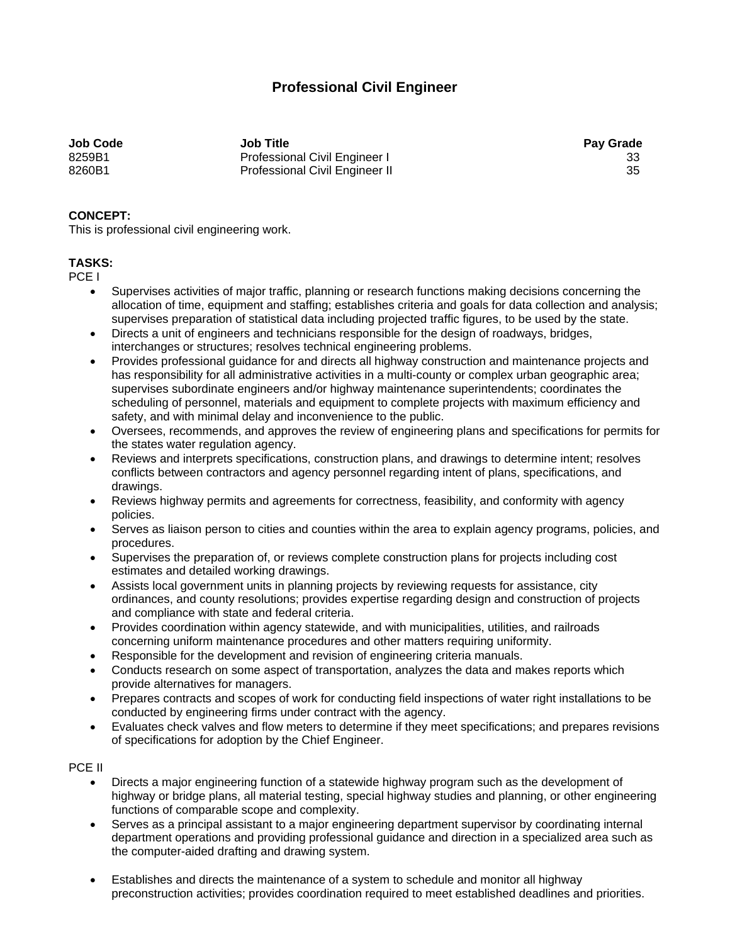# **Professional Civil Engineer**

**Job Code Job Title Pay Grade**  8259B1 Professional Civil Engineer I 33 8260B1 Professional Civil Engineer II 35

## **CONCEPT:**

This is professional civil engineering work.

# **TASKS:**

PCE I

- Supervises activities of major traffic, planning or research functions making decisions concerning the allocation of time, equipment and staffing; establishes criteria and goals for data collection and analysis; supervises preparation of statistical data including projected traffic figures, to be used by the state.
- Directs a unit of engineers and technicians responsible for the design of roadways, bridges, interchanges or structures; resolves technical engineering problems.
- Provides professional guidance for and directs all highway construction and maintenance projects and has responsibility for all administrative activities in a multi-county or complex urban geographic area; supervises subordinate engineers and/or highway maintenance superintendents; coordinates the scheduling of personnel, materials and equipment to complete projects with maximum efficiency and safety, and with minimal delay and inconvenience to the public.
- Oversees, recommends, and approves the review of engineering plans and specifications for permits for the states water regulation agency.
- Reviews and interprets specifications, construction plans, and drawings to determine intent; resolves conflicts between contractors and agency personnel regarding intent of plans, specifications, and drawings.
- Reviews highway permits and agreements for correctness, feasibility, and conformity with agency policies.
- Serves as liaison person to cities and counties within the area to explain agency programs, policies, and procedures.
- Supervises the preparation of, or reviews complete construction plans for projects including cost estimates and detailed working drawings.
- Assists local government units in planning projects by reviewing requests for assistance, city ordinances, and county resolutions; provides expertise regarding design and construction of projects and compliance with state and federal criteria.
- Provides coordination within agency statewide, and with municipalities, utilities, and railroads concerning uniform maintenance procedures and other matters requiring uniformity.
- Responsible for the development and revision of engineering criteria manuals.
- Conducts research on some aspect of transportation, analyzes the data and makes reports which provide alternatives for managers.
- Prepares contracts and scopes of work for conducting field inspections of water right installations to be conducted by engineering firms under contract with the agency.
- Evaluates check valves and flow meters to determine if they meet specifications; and prepares revisions of specifications for adoption by the Chief Engineer.

#### PCE II

- Directs a major engineering function of a statewide highway program such as the development of highway or bridge plans, all material testing, special highway studies and planning, or other engineering functions of comparable scope and complexity.
- Serves as a principal assistant to a major engineering department supervisor by coordinating internal department operations and providing professional guidance and direction in a specialized area such as the computer-aided drafting and drawing system.
- Establishes and directs the maintenance of a system to schedule and monitor all highway preconstruction activities; provides coordination required to meet established deadlines and priorities.